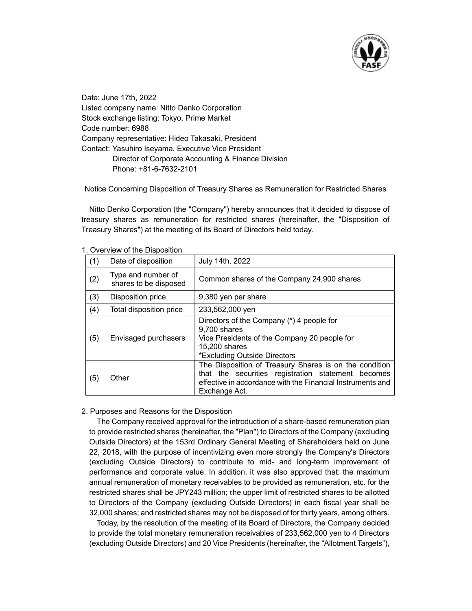

Date: June 17th, 2022 Listed company name: Nitto Denko Corporation Stock exchange listing: Tokyo, Prime Market Code number: 6988 Company representative: Hideo Takasaki, President Contact: Yasuhiro Iseyama, Executive Vice President Director of Corporate Accounting & Finance Division Phone: +81-6-7632-2101

Notice Concerning Disposition of Treasury Shares as Remuneration for Restricted Shares

Nitto Denko Corporation (the "Company") hereby announces that it decided to dispose of treasury shares as remuneration for restricted shares (hereinafter, the "Disposition of Treasury Shares") at the meeting of its Board of Directors held today.

| <b>1. Overview of the Disposition</b> |                                             |                                                                                                                                                                                             |
|---------------------------------------|---------------------------------------------|---------------------------------------------------------------------------------------------------------------------------------------------------------------------------------------------|
| (1)                                   | Date of disposition                         | July 14th, 2022                                                                                                                                                                             |
| (2)                                   | Type and number of<br>shares to be disposed | Common shares of the Company 24,900 shares                                                                                                                                                  |
| (3)                                   | Disposition price                           | 9,380 yen per share                                                                                                                                                                         |
| (4)                                   | Total disposition price                     | 233,562,000 yen                                                                                                                                                                             |
| (5)                                   | Envisaged purchasers                        | Directors of the Company (*) 4 people for<br>9,700 shares<br>Vice Presidents of the Company 20 people for<br>15,200 shares<br>*Excluding Outside Directors                                  |
| (5)                                   | Other                                       | The Disposition of Treasury Shares is on the condition<br>that the securities registration statement becomes<br>effective in accordance with the Financial Instruments and<br>Exchange Act. |

1. Overview of the Disposition

## 2. Purposes and Reasons for the Disposition

The Company received approval for the introduction of a share-based remuneration plan to provide restricted shares (hereinafter, the "Plan") to Directors of the Company (excluding Outside Directors) at the 153rd Ordinary General Meeting of Shareholders held on June 22, 2018, with the purpose of incentivizing even more strongly the Company's Directors (excluding Outside Directors) to contribute to mid- and long-term improvement of performance and corporate value. In addition, it was also approved that: the maximum annual remuneration of monetary receivables to be provided as remuneration, etc. for the restricted shares shall be JPY243 million; the upper limit of restricted shares to be allotted to Directors of the Company (excluding Outside Directors) in each fiscal year shall be 32,000 shares; and restricted shares may not be disposed of for thirty years, among others.

Today, by the resolution of the meeting of its Board of Directors, the Company decided to provide the total monetary remuneration receivables of 233,562,000 yen to 4 Directors (excluding Outside Directors) and 20 Vice Presidents (hereinafter, the "Allotment Targets"),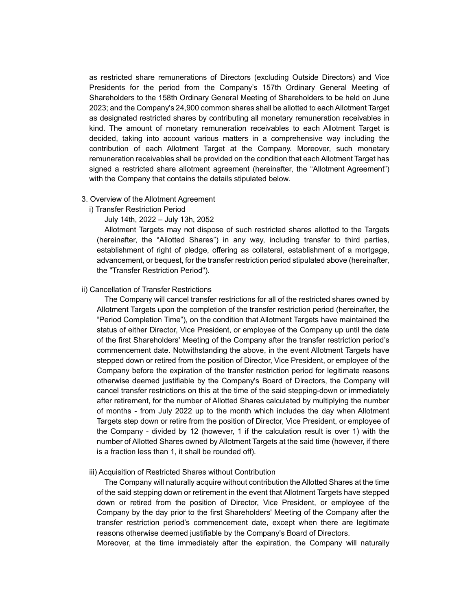as restricted share remunerations of Directors (excluding Outside Directors) and Vice Presidents for the period from the Company's 157th Ordinary General Meeting of Shareholders to the 158th Ordinary General Meeting of Shareholders to be held on June 2023; and the Company's 24,900 common shares shall be allotted to each Allotment Target as designated restricted shares by contributing all monetary remuneration receivables in kind. The amount of monetary remuneration receivables to each Allotment Target is decided, taking into account various matters in a comprehensive way including the contribution of each Allotment Target at the Company. Moreover, such monetary remuneration receivables shall be provided on the condition that each Allotment Target has signed a restricted share allotment agreement (hereinafter, the "Allotment Agreement") with the Company that contains the details stipulated below.

### 3. Overview of the Allotment Agreement

i) Transfer Restriction Period

July 14th, 2022 – July 13h, 2052

Allotment Targets may not dispose of such restricted shares allotted to the Targets (hereinafter, the "Allotted Shares") in any way, including transfer to third parties, establishment of right of pledge, offering as collateral, establishment of a mortgage, advancement, or bequest, for the transfer restriction period stipulated above (hereinafter, the "Transfer Restriction Period").

# ii) Cancellation of Transfer Restrictions

The Company will cancel transfer restrictions for all of the restricted shares owned by Allotment Targets upon the completion of the transfer restriction period (hereinafter, the "Period Completion Time"), on the condition that Allotment Targets have maintained the status of either Director, Vice President, or employee of the Company up until the date of the first Shareholders' Meeting of the Company after the transfer restriction period's commencement date. Notwithstanding the above, in the event Allotment Targets have stepped down or retired from the position of Director, Vice President, or employee of the Company before the expiration of the transfer restriction period for legitimate reasons otherwise deemed justifiable by the Company's Board of Directors, the Company will cancel transfer restrictions on this at the time of the said stepping-down or immediately after retirement, for the number of Allotted Shares calculated by multiplying the number of months - from July 2022 up to the month which includes the day when Allotment Targets step down or retire from the position of Director, Vice President, or employee of the Company - divided by 12 (however, 1 if the calculation result is over 1) with the number of Allotted Shares owned by Allotment Targets at the said time (however, if there is a fraction less than 1, it shall be rounded off).

#### iii) Acquisition of Restricted Shares without Contribution

The Company will naturally acquire without contribution the Allotted Shares at the time of the said stepping down or retirement in the event that Allotment Targets have stepped down or retired from the position of Director, Vice President, or employee of the Company by the day prior to the first Shareholders' Meeting of the Company after the transfer restriction period's commencement date, except when there are legitimate reasons otherwise deemed justifiable by the Company's Board of Directors.

Moreover, at the time immediately after the expiration, the Company will naturally